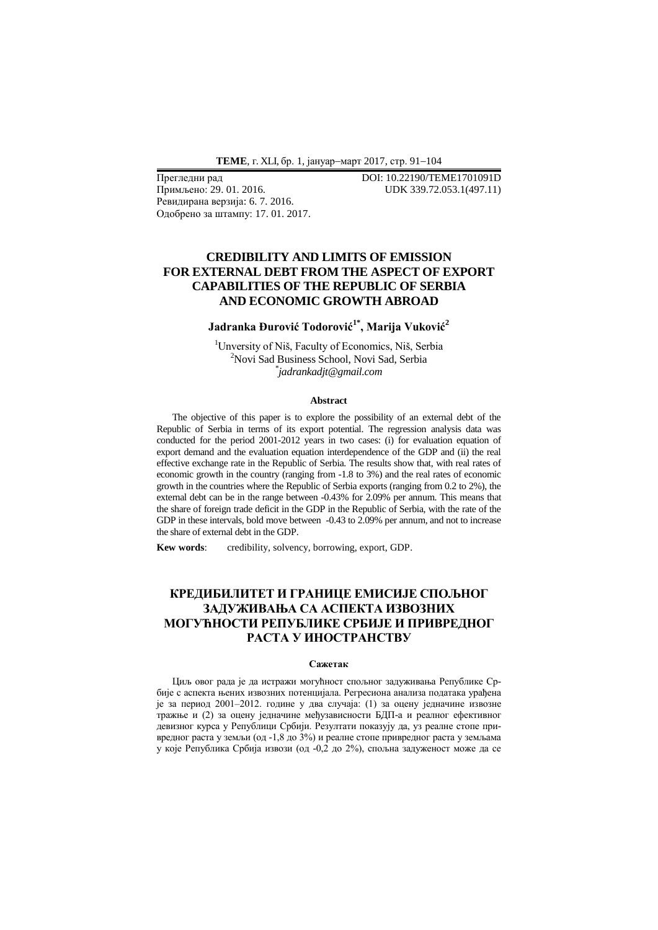**ТЕМЕ**, г. XLI, бр. 1, јануар-март 2017, стр. 91-104

Прегледни рад **DOI: 10.22190/ТЕМЕ1701091D**<br>Примљено: 29. 01. 2016. **IDK 339.72.053.1(497.11)** Ревидирана верзија: 6. 7. 2016. Одобрено за штампу: 17. 01. 2017.

UDK 339.72.053.1(497.11)

# **CREDIBILITY AND LIMITS OF EMISSION FOR EXTERNAL DEBT FROM THE ASPECT OF EXPORT CAPABILITIES OF THE REPUBLIC OF SERBIA AND ECONOMIC GROWTH ABROAD**

# **Jadranka Đurović Todorović1\* , Marija Vuković<sup>2</sup>**

<sup>1</sup>Unversity of Niš, Faculty of Economics, Niš, Serbia <sup>2</sup>Novi Sad Business School, Novi Sad, Serbia \* *jadrankadjt@gmail.com*

### **Abstract**

The objective of this paper is to explore the possibility of an external debt of the Republic of Serbia in terms of its export potential. The regression analysis data was conducted for the period 2001-2012 years in two cases: (i) for evaluation equation of export demand and the evaluation equation interdependence of the GDP and (ii) the real effective exchange rate in the Republic of Serbia. The results show that, with real rates of economic growth in the country (ranging from -1.8 to 3%) and the real rates of economic growth in the countries where the Republic of Serbia exports (ranging from 0.2 to 2%), the external debt can be in the range between -0.43% for 2.09% per annum. This means that the share of foreign trade deficit in the GDP in the Republic of Serbia, with the rate of the GDP in these intervals, bold move between -0.43 to 2.09% per annum, and not to increase the share of external debt in the GDP.

**Kew words**: credibility, solvency, borrowing, export, GDP.

# **КРЕДИБИЛИТЕТ И ГРАНИЦЕ ЕМИСИЈЕ СПОЉНОГ ЗАДУЖИВАЊА СА АСПЕКТА ИЗВОЗНИХ МОГУЋНОСТИ РЕПУБЛИКЕ СРБИЈЕ И ПРИВРЕДНОГ РАСТА У ИНОСТРАНСТВУ**

#### **Сажетак**

Циљ овог рада је да истражи могућност спољног задуживања Републике Србије с аспекта њених извозних потенцијала. Регресиона анализа података урађена је за период 2001–2012. године у два случаја: (1) за оцену једначине извозне тражње и (2) за оцену једначине међузависности БДП-а и реалног ефективног девизног курса у Републици Србији. Резултати показују да, уз реалне стопе привредног раста у земљи (од -1,8 до 3%) и реалне стопе привредног раста у земљама у које Република Србија извози (од -0,2 до 2%), спољна задуженост може да се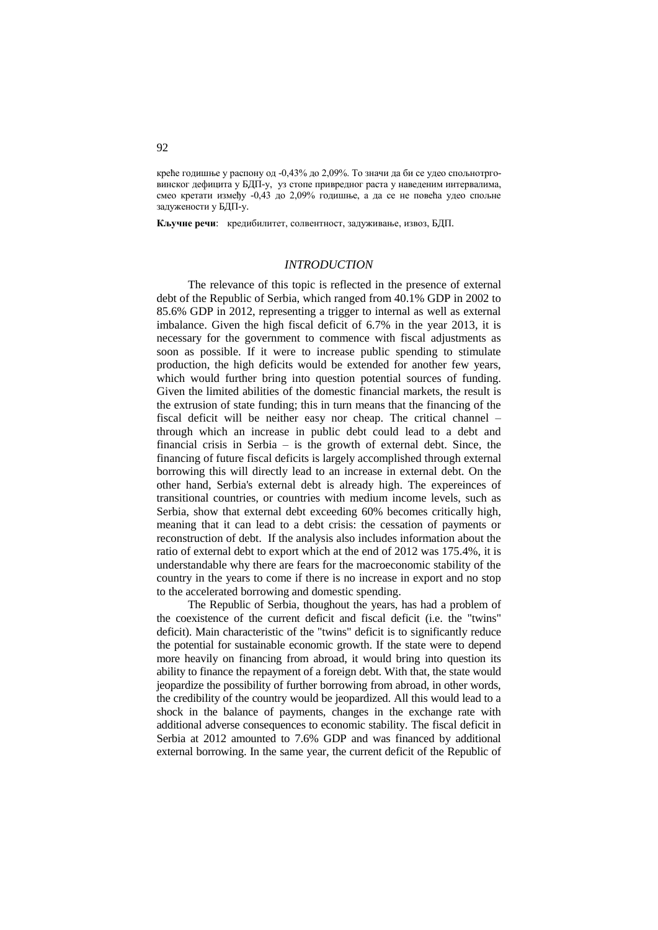креће годишње у распону од -0,43% до 2,09%. То значи да би се удео спољнотрговинског дефицита у БДП-у, уз стопе привредног раста у наведеним интервалима, смео кретати између -0,43 до 2,09% годишње, а да се не повећа удео спољне задужености у БДП-у.

**Кључне речи**: кредибилитет, солвентност, задуживање, извоз, БДП.

## *INTRODUCTION*

The relevance of this topic is reflected in the presence of external debt of the Republic of Serbia, which ranged from 40.1% GDP in 2002 to 85.6% GDP in 2012, representing a trigger to internal as well as external imbalance. Given the high fiscal deficit of 6.7% in the year 2013, it is necessary for the government to commence with fiscal adjustments as soon as possible. If it were to increase public spending to stimulate production, the high deficits would be extended for another few years, which would further bring into question potential sources of funding. Given the limited abilities of the domestic financial markets, the result is the extrusion of state funding; this in turn means that the financing of the fiscal deficit will be neither easy nor cheap. The critical channel – through which an increase in public debt could lead to a debt and financial crisis in Serbia – is the growth of external debt. Since, the financing of future fiscal deficits is largely accomplished through external borrowing this will directly lead to an increase in external debt. On the other hand, Serbia's external debt is already high. The expereinces of transitional countries, or countries with medium income levels, such as Serbia, show that external debt exceeding 60% becomes critically high, meaning that it can lead to a debt crisis: the cessation of payments or reconstruction of debt. If the analysis also includes information about the ratio of external debt to export which at the end of 2012 was 175.4%, it is understandable why there are fears for the macroeconomic stability of the country in the years to come if there is no increase in export and no stop to the accelerated borrowing and domestic spending.

The Republic of Serbia, thoughout the years, has had a problem of the coexistence of the current deficit and fiscal deficit (i.e. the "twins" deficit). Main characteristic of the "twins" deficit is to significantly reduce the potential for sustainable economic growth. If the state were to depend more heavily on financing from abroad, it would bring into question its ability to finance the repayment of a foreign debt. With that, the state would jeopardize the possibility of further borrowing from abroad, in other words, the credibility of the country would be jeopardized. All this would lead to a shock in the balance of payments, changes in the exchange rate with additional adverse consequences to economic stability. The fiscal deficit in Serbia at 2012 amounted to 7.6% GDP and was financed by additional external borrowing. In the same year, the current deficit of the Republic of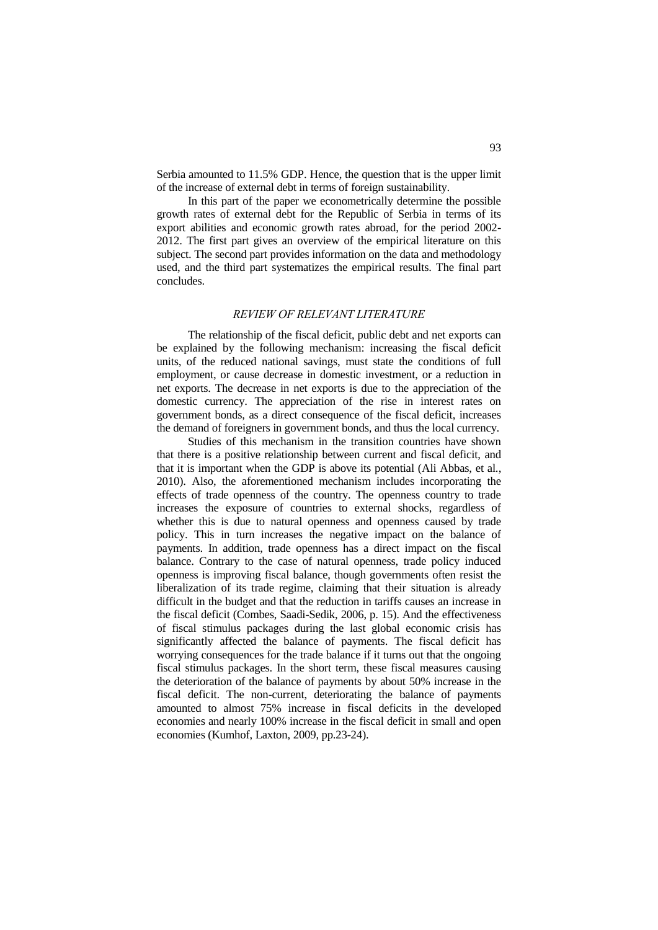Serbia amounted to 11.5% GDP. Hence, the question that is the upper limit of the increase of external debt in terms of foreign sustainability.

In this part of the paper we econometrically determine the possible growth rates of external debt for the Republic of Serbia in terms of its export abilities and economic growth rates abroad, for the period 2002- 2012. The first part gives an overview of the empirical literature on this subject. The second part provides information on the data and methodology used, and the third part systematizes the empirical results. The final part concludes.

## *REVIEW OF RELEVANT LITERATURE*

The relationship of the fiscal deficit, public debt and net exports can be explained by the following mechanism: increasing the fiscal deficit units, of the reduced national savings, must state the conditions of full employment, or cause decrease in domestic investment, or a reduction in net exports. The decrease in net exports is due to the appreciation of the domestic currency. The appreciation of the rise in interest rates on government bonds, as a direct consequence of the fiscal deficit, increases the demand of foreigners in government bonds, and thus the local currency.

Studies of this mechanism in the transition countries have shown that there is a positive relationship between current and fiscal deficit, and that it is important when the GDP is above its potential (Ali Abbas, et al., 2010). Also, the aforementioned mechanism includes incorporating the effects of trade openness of the country. The openness country to trade increases the exposure of countries to external shocks, regardless of whether this is due to natural openness and openness caused by trade policy. This in turn increases the negative impact on the balance of payments. In addition, trade openness has a direct impact on the fiscal balance. Contrary to the case of natural openness, trade policy induced openness is improving fiscal balance, though governments often resist the liberalization of its trade regime, claiming that their situation is already difficult in the budget and that the reduction in tariffs causes an increase in the fiscal deficit (Combes, Saadi-Sedik, 2006, p. 15). And the effectiveness of fiscal stimulus packages during the last global economic crisis has significantly affected the balance of payments. The fiscal deficit has worrying consequences for the trade balance if it turns out that the ongoing fiscal stimulus packages. In the short term, these fiscal measures causing the deterioration of the balance of payments by about 50% increase in the fiscal deficit. The non-current, deteriorating the balance of payments amounted to almost 75% increase in fiscal deficits in the developed economies and nearly 100% increase in the fiscal deficit in small and open economies (Kumhof, Laxton, 2009, pp.23-24).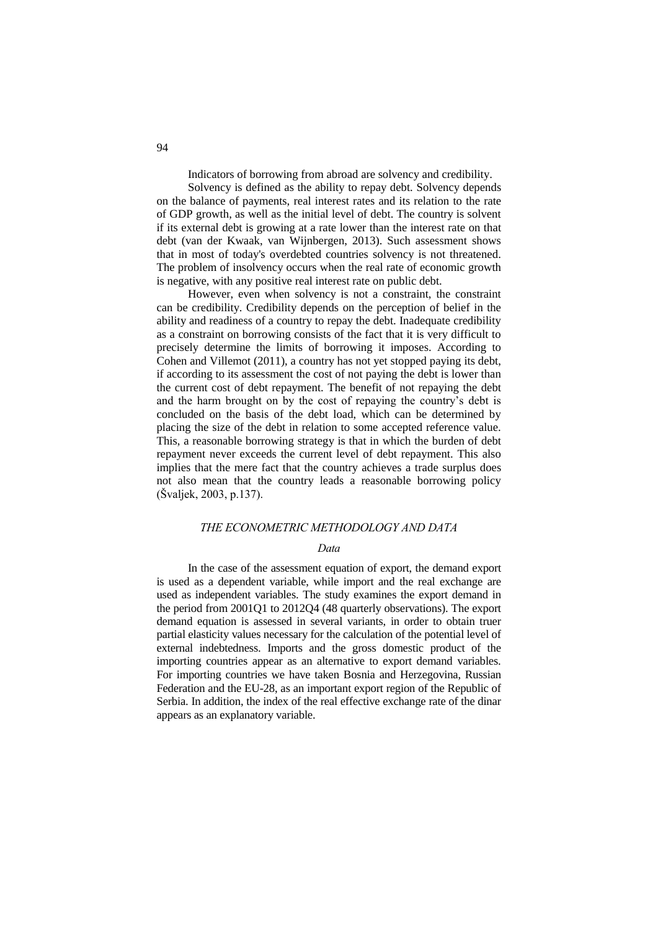Indicators of borrowing from abroad are solvency and credibility.

Solvency is defined as the ability to repay debt. Solvency depends on the balance of payments, real interest rates and its relation to the rate of GDP growth, as well as the initial level of debt. The country is solvent if its external debt is growing at a rate lower than the interest rate on that debt (van der Kwaak, van Wijnbergen, 2013). Such assessment shows that in most of today's overdebted countries solvency is not threatened. The problem of insolvency occurs when the real rate of economic growth is negative, with any positive real interest rate on public debt.

However, even when solvency is not a constraint, the constraint can be credibility. Credibility depends on the perception of belief in the ability and readiness of a country to repay the debt. Inadequate credibility as a constraint on borrowing consists of the fact that it is very difficult to precisely determine the limits of borrowing it imposes. According to Cohen and Villemot (2011), a country has not yet stopped paying its debt, if according to its assessment the cost of not paying the debt is lower than the current cost of debt repayment. The benefit of not repaying the debt and the harm brought on by the cost of repaying the country's debt is concluded on the basis of the debt load, which can be determined by placing the size of the debt in relation to some accepted reference value. This, a reasonable borrowing strategy is that in which the burden of debt repayment never exceeds the current level of debt repayment. This also implies that the mere fact that the country achieves a trade surplus does not also mean that the country leads a reasonable borrowing policy (Švaljek, 2003, p.137).

## *THE ECONOMETRIC METHODOLOGY AND DATA*

## *Data*

In the case of the assessment equation of export, the demand export is used as a dependent variable, while import and the real exchange are used as independent variables. The study examines the export demand in the period from 2001Q1 to 2012Q4 (48 quarterly observations). The export demand equation is assessed in several variants, in order to obtain truer partial elasticity values necessary for the calculation of the potential level of external indebtedness. Imports and the gross domestic product of the importing countries appear as an alternative to export demand variables. For importing countries we have taken Bosnia and Herzegovina, Russian Federation and the EU-28, as an important export region of the Republic of Serbia. In addition, the index of the real effective exchange rate of the dinar appears as an explanatory variable.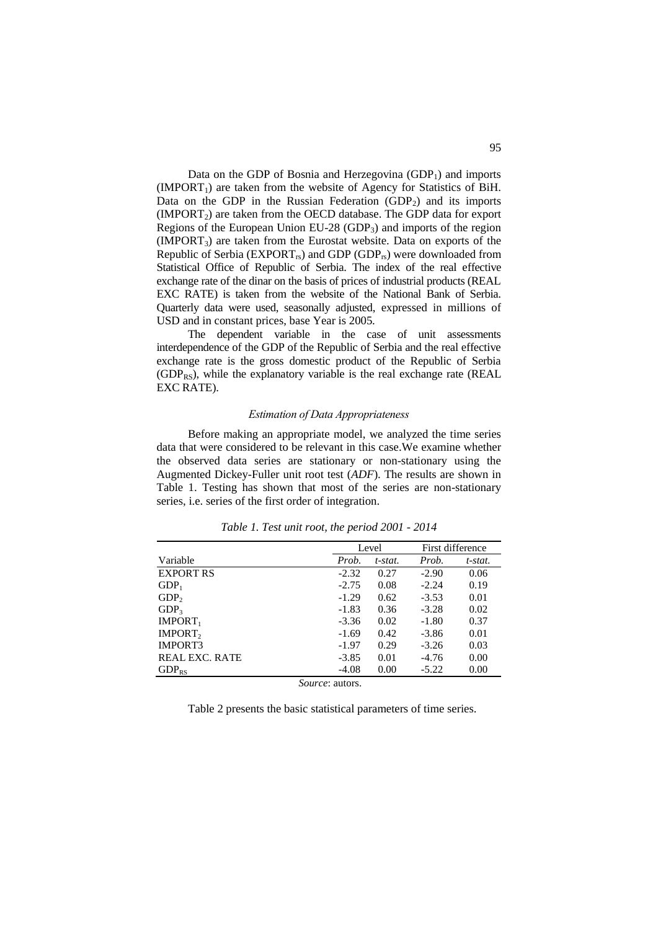Data on the GDP of Bosnia and Herzegovina  $(GDP<sub>1</sub>)$  and imports  $(IMPORT<sub>1</sub>)$  are taken from the website of Agency for Statistics of BiH. Data on the GDP in the Russian Federation  $(GDP<sub>2</sub>)$  and its imports  $(IMPORT<sub>2</sub>)$  are taken from the OECD database. The GDP data for export Regions of the European Union EU-28  $(GDP_3)$  and imports of the region  $(IMPORT<sub>3</sub>)$  are taken from the Eurostat website. Data on exports of the Republic of Serbia ( $EXPORT<sub>rs</sub>$ ) and GDP (GDP<sub>rs</sub>) were downloaded from Statistical Office of Republic of Serbia. The index of the real effective exchange rate of the dinar on the basis of prices of industrial products (REAL EXC RATE) is taken from the website of the National Bank of Serbia. Quarterly data were used, seasonally adjusted, expressed in millions of USD and in constant prices, base Year is 2005.

The dependent variable in the case of unit assessments interdependence of the GDP of the Republic of Serbia and the real effective exchange rate is the gross domestic product of the Republic of Serbia  $(GDP_{RS})$ , while the explanatory variable is the real exchange rate (REAL) EXC RATE).

### *Estimation of Data Appropriateness*

Before making an appropriate model, we analyzed the time series data that were considered to be relevant in this case.We examine whether the observed data series are stationary or non-stationary using the Augmented Dickey-Fuller unit root test (*ADF*). The results are shown in Table 1. Testing has shown that most of the series are non-stationary series, i.e. series of the first order of integration.

|                       |         | Level   | First difference |         |  |
|-----------------------|---------|---------|------------------|---------|--|
| Variable              | Prob.   | t-stat. | Prob.            | t-stat. |  |
| <b>EXPORT RS</b>      | $-2.32$ | 0.27    | $-2.90$          | 0.06    |  |
| $GDP_1$               | $-2.75$ | 0.08    | $-2.24$          | 0.19    |  |
| GDP <sub>2</sub>      | $-1.29$ | 0.62    | $-3.53$          | 0.01    |  |
| GDP <sub>3</sub>      | $-1.83$ | 0.36    | $-3.28$          | 0.02    |  |
| IMPORT <sub>1</sub>   | $-3.36$ | 0.02    | $-1.80$          | 0.37    |  |
| IMPORT,               | $-1.69$ | 0.42    | $-3.86$          | 0.01    |  |
| IMPORT3               | $-1.97$ | 0.29    | $-3.26$          | 0.03    |  |
| <b>REAL EXC. RATE</b> | $-3.85$ | 0.01    | $-4.76$          | 0.00    |  |
| $GDP_{RS}$            | $-4.08$ | 0.00    | $-5.22$          | 0.00    |  |

*Table 1. Test unit root, the period 2001 - 2014*

*Source*: autors.

Table 2 presents the basic statistical parameters of time series.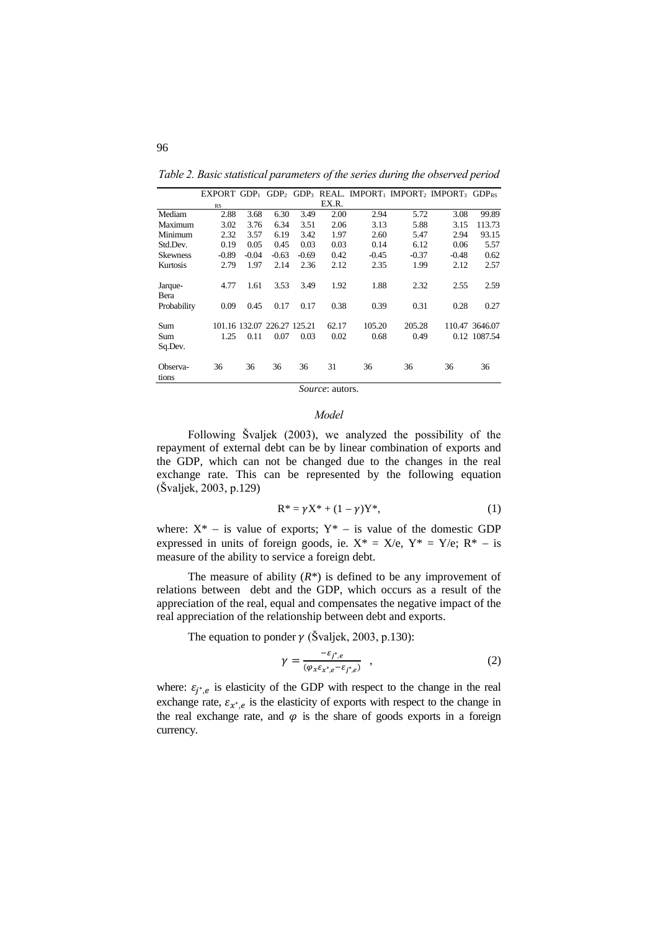*Table 2. Basic statistical parameters of the series during the observed period*

|                                |              |              |                                     |              |               |                |                | EXPORT GDP <sub>1</sub> GDP <sub>2</sub> GDP <sub>3</sub> REAL. IMPORT <sub>1</sub> IMPORT <sub>2</sub> IMPORT <sub>3</sub> GDP <sub>RS</sub> |                                |
|--------------------------------|--------------|--------------|-------------------------------------|--------------|---------------|----------------|----------------|-----------------------------------------------------------------------------------------------------------------------------------------------|--------------------------------|
|                                | RS           |              |                                     |              | EX.R.         |                |                |                                                                                                                                               |                                |
| Mediam                         | 2.88         | 3.68         | 6.30                                | 3.49         | 2.00          | 2.94           | 5.72           | 3.08                                                                                                                                          | 99.89                          |
| Maximum                        | 3.02         | 3.76         | 6.34                                | 3.51         | 2.06          | 3.13           | 5.88           | 3.15                                                                                                                                          | 113.73                         |
| Minimum                        | 2.32         | 3.57         | 6.19                                | 3.42         | 1.97          | 2.60           | 5.47           | 2.94                                                                                                                                          | 93.15                          |
| Std.Dev.                       | 0.19         | 0.05         | 0.45                                | 0.03         | 0.03          | 0.14           | 6.12           | 0.06                                                                                                                                          | 5.57                           |
| <b>Skewness</b>                | $-0.89$      | $-0.04$      | $-0.63$                             | $-0.69$      | 0.42          | $-0.45$        | $-0.37$        | $-0.48$                                                                                                                                       | 0.62                           |
| Kurtosis                       | 2.79         | 1.97         | 2.14                                | 2.36         | 2.12          | 2.35           | 1.99           | 2.12                                                                                                                                          | 2.57                           |
| Jarque-<br>Bera<br>Probability | 4.77<br>0.09 | 1.61<br>0.45 | 3.53<br>0.17                        | 3.49<br>0.17 | 1.92<br>0.38  | 1.88<br>0.39   | 2.32<br>0.31   | 2.55<br>0.28                                                                                                                                  | 2.59<br>0.27                   |
| Sum<br>Sum<br>Sq.Dev.          | 1.25         | 0.11         | 101.16 132.07 226.27 125.21<br>0.07 | 0.03         | 62.17<br>0.02 | 105.20<br>0.68 | 205.28<br>0.49 |                                                                                                                                               | 110.47 3646.07<br>0.12 1087.54 |
| Observa-<br>tions              | 36           | 36           | 36                                  | 36           | 31            | 36             | 36             | 36                                                                                                                                            | 36                             |

*Source*: autors.

#### *Model*

Following Švaljek (2003), wе analyzed the possibility of the repayment of external debt can be by linear combination of exports and the GDP, which can not be changed due to the changes in the real exchange rate. This can be represented by the following equation (Švaljek, 2003, p.129)

$$
R^* = \gamma X^* + (1 - \gamma)Y^*,
$$
 (1)

where:  $X^*$  – is value of exports;  $Y^*$  – is value of the domestic GDP expressed in units of foreign goods, ie.  $X^* = X/e$ ,  $Y^* = Y/e$ ;  $R^* -$  is measure of the ability to service a foreign debt.

The measure of ability  $(R^*)$  is defined to be any improvement of relations between debt and the GDP, which occurs as a result of the appreciation of the real, equal and compensates the negative impact of the real appreciation of the relationship between debt and exports.

The equation to ponder  $\gamma$  (Švaljek, 2003, p.130):

$$
\gamma = \frac{-\varepsilon_{j^*,e}}{(\varphi_x \varepsilon_{x^*,e} - \varepsilon_{j^*,e})} \quad , \tag{2}
$$

where:  $\varepsilon_{j^*,e}$  is elasticity of the GDP with respect to the change in the real exchange rate,  $\varepsilon_{x^*,e}$  is the elasticity of exports with respect to the change in the real exchange rate, and  $\varphi$  is the share of goods exports in a foreign currency*.*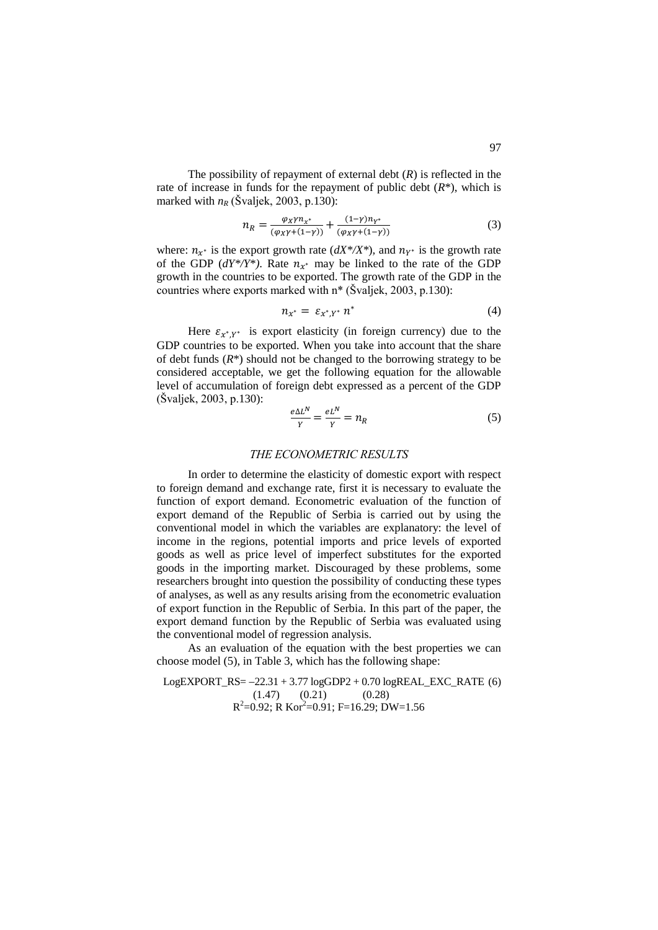The possibility of repayment of external debt (*R*) is reflected in the rate of increase in funds for the repayment of public debt  $(R^*)$ , which is marked with  $n_R$  (Švaljek, 2003, p.130):

$$
n_R = \frac{\varphi_X \gamma n_{\chi^*}}{(\varphi_X \gamma + (1 - \gamma))} + \frac{(1 - \gamma)n_{\gamma^*}}{(\varphi_X \gamma + (1 - \gamma))}
$$
(3)

where:  $n_{x^*}$  is the export growth rate  $(dX^*/X^*)$ , and  $n_{Y^*}$  is the growth rate of the GDP  $(dY^*/Y^*)$ . Rate  $n_{X^*}$  may be linked to the rate of the GDP growth in the countries to be exported. The growth rate of the GDP in the countries where exports marked with n\* (Švaljek, 2003, p.130):

$$
n_{x^*} = \varepsilon_{x^*,Y^*} n^* \tag{4}
$$

Here  $\varepsilon_{x^*,Y^*}$  is export elasticity (in foreign currency) due to the GDP countries to be exported. When you take into account that the share of debt funds (*R*\*) should not be changed to the borrowing strategy to be considered acceptable, we get the following equation for the allowable level of accumulation of foreign debt expressed as a percent of the GDP (Švaljek, 2003, p.130):

$$
\frac{e\Delta L^N}{Y} = \frac{eL^N}{Y} = n_R \tag{5}
$$

## *THE ECONOMETRIC RESULTS*

In order to determine the elasticity of domestic export with respect to foreign demand and exchange rate, first it is necessary to evaluate the function of export demand. Econometric evaluation of the function of export demand of the Republic of Serbia is carried out by using the conventional model in which the variables are explanatory: the level of income in the regions, potential imports and price levels of exported goods as well as price level of imperfect substitutes for the exported goods in the importing market. Discouraged by these problems, some researchers brought into question the possibility of conducting these types of analyses, as well as any results arising from the econometric evaluation of export function in the Republic of Serbia. In this part of the paper, the export demand function by the Republic of Serbia was evaluated using the conventional model of regression analysis.

As an evaluation of the equation with the best properties we can choose model (5), in Table 3, which has the following shape:

LogEXPORT\_RS= -22.31 + 3.77 logGDP2 + 0.70 logREAL\_RXC\_RATE (6)  
\n(1.47) (0.21) (0.28)  
\n
$$
R^2=0.92; R Kor^2=0.91; F=16.29; DW=1.56
$$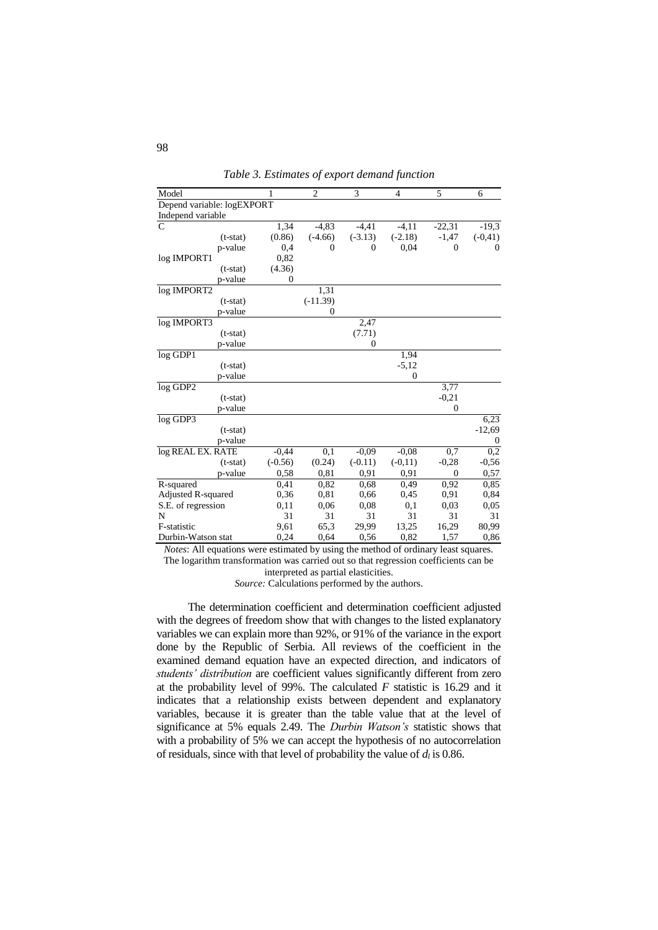| Model                      | 1                | $\overline{2}$ | 3         | $\overline{4}$ | 5        | 6          |
|----------------------------|------------------|----------------|-----------|----------------|----------|------------|
| Depend variable: logEXPORT |                  |                |           |                |          |            |
| Independ variable          |                  |                |           |                |          |            |
| C                          | 1,34             | $-4,83$        | $-4,41$   | $-4,11$        | $-22,31$ | $-19.3$    |
| $(t-stat)$                 | (0.86)           | $(-4.66)$      | $(-3.13)$ | $(-2.18)$      | $-1,47$  | $(-0, 41)$ |
| p-value                    | 0,4              | $\Omega$       | 0         | 0,04           | $\Omega$ | $\Omega$   |
| log IMPORT1                | 0,82             |                |           |                |          |            |
| $(t-stat)$                 | (4.36)           |                |           |                |          |            |
| p-value                    | $\boldsymbol{0}$ |                |           |                |          |            |
| log IMPORT2                |                  | 1,31           |           |                |          |            |
| $(t-stat)$                 |                  | $(-11.39)$     |           |                |          |            |
| p-value                    |                  | 0              |           |                |          |            |
| log IMPORT3                |                  |                | 2,47      |                |          |            |
| $(t-stat)$                 |                  |                | (7.71)    |                |          |            |
| p-value                    |                  |                | $\Omega$  |                |          |            |
| $log$ GDP1                 |                  |                |           | 1,94           |          |            |
| $(t-stat)$                 |                  |                |           | $-5,12$        |          |            |
| p-value                    |                  |                |           | $\mathbf{0}$   |          |            |
| log GDP2                   |                  |                |           |                | 3,77     |            |
| $(t-stat)$                 |                  |                |           |                | $-0,21$  |            |
| p-value                    |                  |                |           |                | $\Omega$ |            |
| log GDP3                   |                  |                |           |                |          | 6,23       |
| $(t-stat)$                 |                  |                |           |                |          | $-12,69$   |
| p-value                    |                  |                |           |                |          | 0          |
| log REAL EX. RATE          | $-0,44$          | 0,1            | $-0.09$   | $-0.08$        | 0,7      | 0,2        |
| $(t-stat)$                 | $(-0.56)$        | (0.24)         | $(-0.11)$ | $(-0,11)$      | $-0,28$  | $-0,56$    |
| p-value                    | 0,58             | 0.81           | 0.91      | 0.91           | $\Omega$ | 0,57       |
| R-squared                  | 0,41             | 0,82           | 0,68      | 0,49           | 0.92     | 0,85       |
| Adjusted R-squared         | 0,36             | 0,81           | 0.66      | 0,45           | 0,91     | 0,84       |
| S.E. of regression         | 0,11             | 0,06           | 0,08      | 0,1            | 0,03     | 0,05       |
| N                          | 31               | 31             | 31        | 31             | 31       | 31         |
| F-statistic                | 9,61             | 65,3           | 29,99     | 13,25          | 16,29    | 80,99      |
| Durbin-Watson stat         | 0,24             | 0,64           | 0,56      | 0,82           | 1,57     | 0,86       |

*Table 3. Estimates of export demand function*

*Notes*: All equations were estimated by using the method of ordinary least squares. The logarithm transformation was carried out so that regression coefficients can be

interpreted as partial elasticities.

*Source:* Calculations performed by the authors.

The determination coefficient and determination coefficient adjusted with the degrees of freedom show that with changes to the listed explanatory variables we can explain more than 92%, or 91% of the variance in the export done by the Republic of Serbia. All reviews of the coefficient in the examined demand equation have an expected direction, and indicators of *students' distribution* are coefficient values significantly different from zero at the probability level of 99%. The calculated *F* statistic is 16.29 and it indicates that a relationship exists between dependent and explanatory variables, because it is greater than the table value that at the level of significance at 5% equals 2.49. The *Durbin Watson's* statistic shows that with a probability of 5% we can accept the hypothesis of no autocorrelation of residuals, since with that level of probability the value of  $d_l$  is 0.86.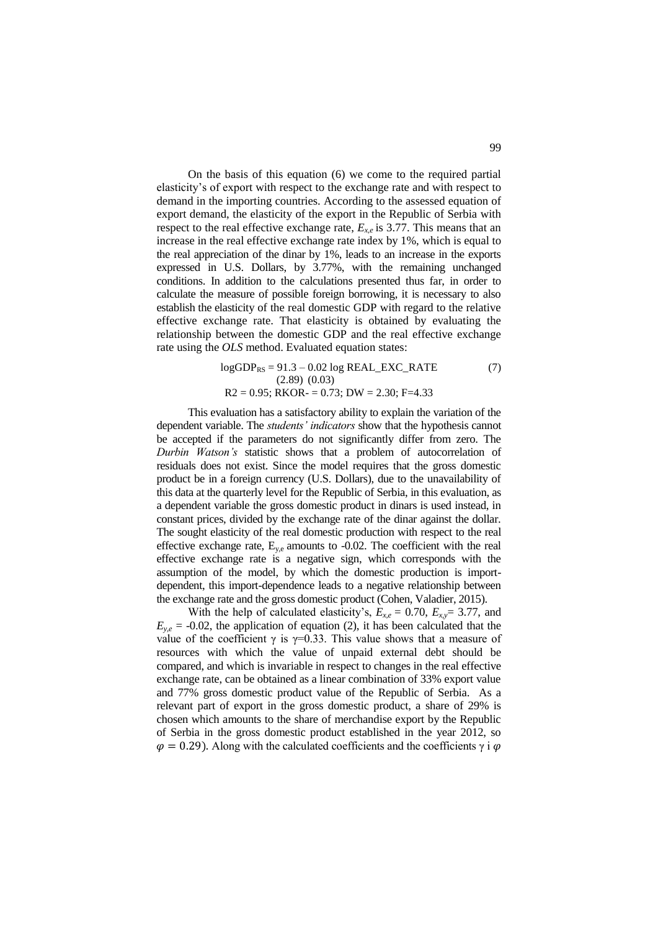On the basis of this equation (6) we come to the required partial elasticity's of export with respect to the exchange rate and with respect to demand in the importing countries. According to the assessed equation of export demand, the elasticity of the export in the Republic of Serbia with respect to the real effective exchange rate,  $E_{x,e}$  is 3.77. This means that an increase in the real effective exchange rate index by 1%, which is equal to the real appreciation of the dinar by 1%, leads to an increase in the exports expressed in U.S. Dollars, by 3.77%, with the remaining unchanged conditions. In addition to the calculations presented thus far, in order to calculate the measure of possible foreign borrowing, it is necessary to also establish the elasticity of the real domestic GDP with regard to the relative effective exchange rate. That elasticity is obtained by evaluating the relationship between the domestic GDP and the real effective exchange rate using the *OLS* method. Evaluated equation states:

$$
logGDP_{RS} = 91.3 - 0.02 log REAL\_EXC\_RATE
$$
  
(2.89) (0.03)  
R2 = 0.95; RKOR = 0.73; DW = 2.30; F=4.33

This evaluation has a satisfactory ability to explain the variation of the dependent variable. The *students' indicators* show that the hypothesis cannot be accepted if the parameters do not significantly differ from zero. The *Durbin Watson's* statistic shows that a problem of autocorrelation of residuals does not exist. Since the model requires that the gross domestic product be in a foreign currency (U.S. Dollars), due to the unavailability of this data at the quarterly level for the Republic of Serbia, in this evaluation, as a dependent variable the gross domestic product in dinars is used instead, in constant prices, divided by the exchange rate of the dinar against the dollar. The sought elasticity of the real domestic production with respect to the real effective exchange rate,  $E_{y,e}$  amounts to -0.02. The coefficient with the real effective exchange rate is a negative sign, which corresponds with the assumption of the model, by which the domestic production is importdependent, this import-dependence leads to a negative relationship between the exchange rate and the gross domestic product (Cohen, Valadier, 2015).

With the help of calculated elasticity's,  $E_{x,e} = 0.70$ ,  $E_{x,y} = 3.77$ , and  $E_{y_e}$  = -0.02, the application of equation (2), it has been calculated that the value of the coefficient  $\gamma$  is  $\gamma$ =0.33. This value shows that a measure of resources with which the value of unpaid external debt should be compared, and which is invariable in respect to changes in the real effective exchange rate, can be obtained as a linear combination of 33% export value and 77% gross domestic product value of the Republic of Serbia. As a relevant part of export in the gross domestic product, a share of 29% is chosen which amounts to the share of merchandise export by the Republic of Serbia in the gross domestic product established in the year 2012, so  $\varphi = 0.29$ ). Along with the calculated coefficients and the coefficients  $\gamma i \varphi$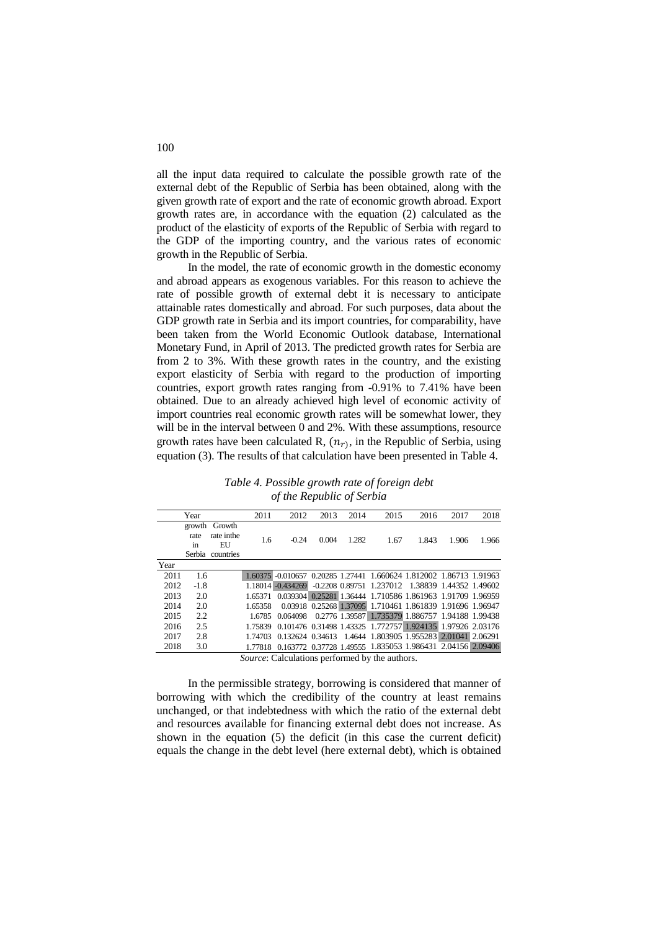all the input data required to calculate the possible growth rate of the external debt of the Republic of Serbia has been obtained, along with the given growth rate of export and the rate of economic growth abroad. Export growth rates are, in accordance with the equation (2) calculated as the product of the elasticity of exports of the Republic of Serbia with regard to the GDP of the importing country, and the various rates of economic growth in the Republic of Serbia.

In the model, the rate of economic growth in the domestic economy and abroad appears as exogenous variables. For this reason to achieve the rate of possible growth of external debt it is necessary to anticipate attainable rates domestically and abroad. For such purposes, data about the GDP growth rate in Serbia and its import countries, for comparability, have been taken from the World Economic Outlook database, International Monetary Fund, in April of 2013. The predicted growth rates for Serbia are from 2 to 3%. With these growth rates in the country, and the existing export elasticity of Serbia with regard to the production of importing countries, export growth rates ranging from -0.91% to 7.41% have been obtained. Due to an already achieved high level of economic activity of import countries real economic growth rates will be somewhat lower, they will be in the interval between 0 and 2%. With these assumptions, resource growth rates have been calculated R,  $(n_r)$ , in the Republic of Serbia, using equation (3). The results of that calculation have been presented in Table 4.

*Table 4. Possible growth rate of foreign debt of the Republic of Serbia*

|      | Year                           |                                          | 2011    | 2012                                                               | 2013  | 2014  | 2015                                                       | 2016  | 2017  | 2018  |
|------|--------------------------------|------------------------------------------|---------|--------------------------------------------------------------------|-------|-------|------------------------------------------------------------|-------|-------|-------|
|      | growth<br>rate<br>in<br>Serbia | Growth<br>rate in the<br>EU<br>countries | 1.6     | $-0.24$                                                            | 0.004 | 1.282 | 1.67                                                       | 1.843 | 1.906 | 1.966 |
| Year |                                |                                          |         |                                                                    |       |       |                                                            |       |       |       |
| 2011 | 1.6                            |                                          | 1.60375 | -0.010657 0.20285 1.27441 1.660624 1.812002 1.86713 1.91963        |       |       |                                                            |       |       |       |
| 2012 | $-1.8$                         |                                          |         | 1.18014 -0.434269                                                  |       |       | -0.2208 0.89751 1.237012 1.38839 1.44352 1.49602           |       |       |       |
| 2013 | 2.0                            |                                          | 1.65371 |                                                                    |       |       | 0.039304 0.25281 1.36444 1.710586 1.861963 1.91709 1.96959 |       |       |       |
| 2014 | 2.0                            |                                          | 1.65358 |                                                                    |       |       | 0.03918 0.25268 1.37095 1.710461 1.861839 1.91696 1.96947  |       |       |       |
| 2015 | 2.2                            |                                          | 1.6785  | 0.064098                                                           |       |       | 0.2776 1.39587 1.735379 1.886757 1.94188 1.99438           |       |       |       |
| 2016 | 2.5                            |                                          | 1 75839 |                                                                    |       |       | 0.101476 0.31498 1.43325 1.772757 1.924135 1.97926 2.03176 |       |       |       |
| 2017 | 2.8                            |                                          | 1.74703 |                                                                    |       |       | 0.132624 0.34613 1.4644 1.803905 1.955283 2.01041 2.06291  |       |       |       |
| 2018 | 3.0                            |                                          |         | 1.77818 0.163772 0.37728 1.49555 1.835053 1.986431 2.04156 2.09406 |       |       |                                                            |       |       |       |

*Source*: Calculations performed by the authors.

In the permissible strategy, borrowing is considered that manner of borrowing with which the credibility of the country at least remains unchanged, or that indebtedness with which the ratio of the external debt and resources available for financing external debt does not increase. As shown in the equation (5) the deficit (in this case the current deficit) equals the change in the debt level (here external debt), which is obtained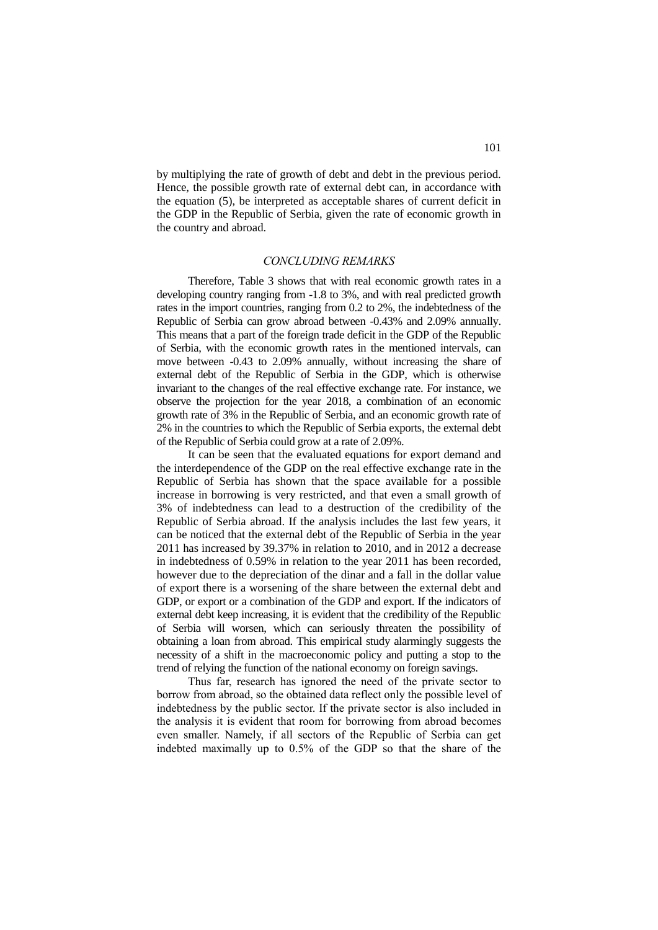by multiplying the rate of growth of debt and debt in the previous period. Hence, the possible growth rate of external debt can, in accordance with the equation (5), be interpreted as acceptable shares of current deficit in the GDP in the Republic of Serbia, given the rate of economic growth in the country and abroad.

## *CONCLUDING REMARKS*

Therefore, Table 3 shows that with real economic growth rates in a developing country ranging from -1.8 to 3%, and with real predicted growth rates in the import countries, ranging from 0.2 to 2%, the indebtedness of the Republic of Serbia can grow abroad between -0.43% and 2.09% annually. This means that a part of the foreign trade deficit in the GDP of the Republic of Serbia, with the economic growth rates in the mentioned intervals, can move between -0.43 to 2.09% annually, without increasing the share of external debt of the Republic of Serbia in the GDP, which is otherwise invariant to the changes of the real effective exchange rate. For instance, we observe the projection for the year 2018, a combination of an economic growth rate of 3% in the Republic of Serbia, and an economic growth rate of 2% in the countries to which the Republic of Serbia exports, the external debt of the Republic of Serbia could grow at a rate of 2.09%.

It can be seen that the evaluated equations for export demand and the interdependence of the GDP on the real effective exchange rate in the Republic of Serbia has shown that the space available for a possible increase in borrowing is very restricted, and that even a small growth of 3% of indebtedness can lead to a destruction of the credibility of the Republic of Serbia abroad. If the analysis includes the last few years, it can be noticed that the external debt of the Republic of Serbia in the year 2011 has increased by 39.37% in relation to 2010, and in 2012 a decrease in indebtedness of 0.59% in relation to the year 2011 has been recorded, however due to the depreciation of the dinar and a fall in the dollar value of export there is a worsening of the share between the external debt and GDP, or export or a combination of the GDP and export. If the indicators of external debt keep increasing, it is evident that the credibility of the Republic of Serbia will worsen, which can seriously threaten the possibility of obtaining a loan from abroad. This empirical study alarmingly suggests the necessity of a shift in the macroeconomic policy and putting a stop to the trend of relying the function of the national economy on foreign savings.

Thus far, research has ignored the need of the private sector to borrow from abroad, so the obtained data reflect only the possible level of indebtedness by the public sector. If the private sector is also included in the analysis it is evident that room for borrowing from abroad becomes even smaller. Namely, if all sectors of the Republic of Serbia can get indebted maximally up to 0.5% of the GDP so that the share of the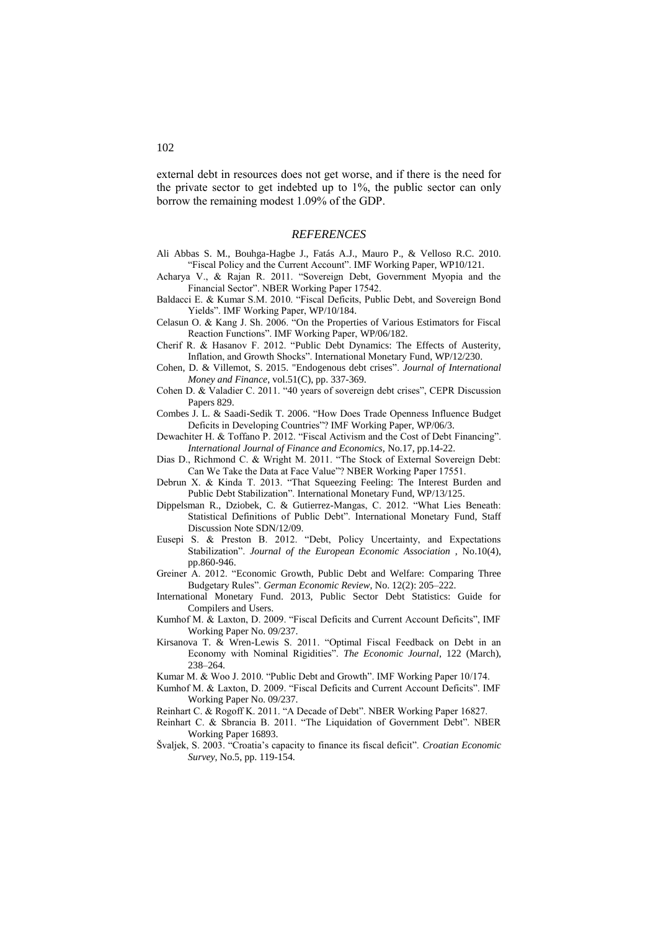external debt in resources does not get worse, and if there is the need for the private sector to get indebted up to 1%, the public sector can only borrow the remaining modest 1.09% of the GDP.

### *REFERENCES*

- Ali Abbas S. M., Bouhga-Hagbe J., Fatás A.J., Mauro P., & Velloso R.C. 2010. "Fiscal Policy and the Current Account". IMF Working Paper, WP10/121.
- Acharya V., & Rajan R. 2011. "Sovereign Debt, Government Myopia and the Financial Sector". NBER Working Paper 17542.
- Baldacci E. & Kumar S.M. 2010. "Fiscal Deficits, Public Debt, and Sovereign Bond Yields". IMF Working Paper, WP/10/184.
- Celasun O. & Kang J. Sh. 2006. "On the Properties of Various Estimators for Fiscal Reaction Functions". IMF Working Paper, WP/06/182.
- Cherif R. & Hasanov F. 2012. "Public Debt Dynamics: The Effects of Austerity, Inflation, and Growth Shocks". International Monetary Fund, WP/12/230.
- Cohen, D. & Villemot, S. 2015. ["Endogenous debt crises"](https://ideas.repec.org/p/cpr/ceprdp/8270.html). *Journal of International Money and Finance*, vol.51(C), pp. 337-369.
- Cohen D. & Valadier C. 2011. "40 years of sovereign debt crises", CEPR Discussion Papers 829.
- Combes J. L. & Saadi-Sedik T. 2006. "How Does Trade Openness Influence Budget Deficits in Developing Countries"? IMF Working Paper, WP/06/3.
- Dewachiter H. & Toffano P. 2012. "Fiscal Activism and the Cost of Debt Financing". *International Journal of Finance and Economics,* No.17, pp.14-22.
- Dias D., Richmond C. & Wright M. 2011. "The Stock of External Sovereign Debt: Can We Take the Data at Face Value"? NBER Working Paper 17551.
- Debrun X. & Kinda T. 2013. "That Squeezing Feeling: The Interest Burden and Public Debt Stabilization". International Monetary Fund, WP/13/125.
- Dippelsman R., Dziobek, C. & Gutierrez-Mangas, C. 2012. "What Lies Beneath: Statistical Definitions of Public Debt". International Monetary Fund, Staff Discussion Note SDN/12/09.
- Eusepi S. & Preston B. 2012. "Debt, Policy Uncertainty, and Expectations Stabilization". *Journal of the European Economic Association* , No.10(4), pp.860-946.
- Greiner A. 2012. "Economic Growth, Public Debt and Welfare: Comparing Three Budgetary Rules". *German Economic Review*, No. 12(2): 205–222.
- International Monetary Fund. 2013, Public Sector Debt Statistics: Guide for Compilers and Users.
- Kumhof M. & Laxton, D. 2009. "Fiscal Deficits and Current Account Deficits", IMF Working Paper No. 09/237.
- Kirsanova T. & Wren-Lewis S. 2011. "Optimal Fiscal Feedback on Debt in an Economy with Nominal Rigidities". *The Economic Journal*, 122 (March), 238–264.
- Kumar M. & Woo J. 2010. "Public Debt and Growth". IMF Working Paper 10/174.
- Kumhof M. & Laxton, D. 2009. "Fiscal Deficits and Current Account Deficits". IMF Working Paper No. 09/237.
- Reinhart C. & Rogoff K. 2011. "A Decade of Debt". NBER Working Paper 16827.
- Reinhart C. & Sbrancia B. 2011. "The Liquidation of Government Debt". NBER Working Paper 16893.
- Švaljek, S. 2003. "Croatia's capacity to finance its fiscal deficit". *Croatian Economic Survey*, No.5, pp. 119-154.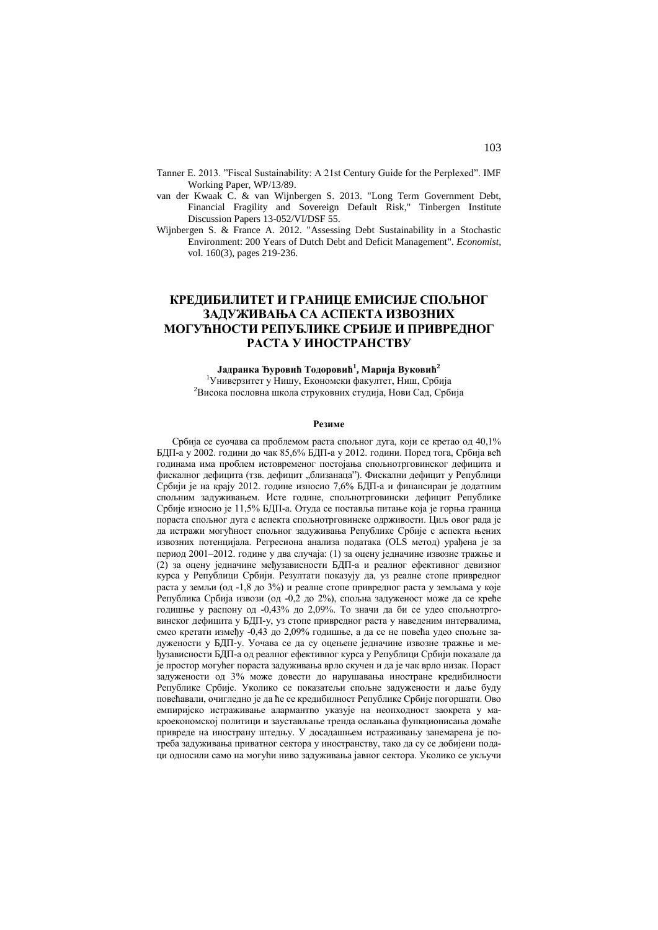- Tanner E. 2013. "Fiscal Sustainability: A 21st Century Guide for the Perplexed". IMF Working Paper, WP/13/89.
- van der Kwaak C. & van Wijnbergen S. 2013. ["Long Term Government Debt,](https://ideas.repec.org/p/tin/wpaper/20130052.html)  [Financial Fragility and Sovereign Default Risk,](https://ideas.repec.org/p/tin/wpaper/20130052.html)" [Tinbergen Institute](https://ideas.repec.org/s/tin/wpaper.html)  [Discussion Papers](https://ideas.repec.org/s/tin/wpaper.html) 13-052/VI/DSF 55.
- Wijnbergen S. & France A. 2012. ["Assessing Debt Sustainability in a Stochastic](https://ideas.repec.org/a/kap/decono/v160y2012i3p219-236.html)  [Environment: 200 Years of Dutch Debt and Deficit Management"](https://ideas.repec.org/a/kap/decono/v160y2012i3p219-236.html). *[Economist](https://ideas.repec.org/s/kap/decono.html)*, vol. 160(3), pages 219-236.

# **КРЕДИБИЛИТЕТ И ГРАНИЦЕ ЕМИСИЈЕ СПОЉНОГ ЗАДУЖИВАЊА СА АСПЕКТА ИЗВОЗНИХ МОГУЋНОСТИ РЕПУБЛИКЕ СРБИЈЕ И ПРИВРЕДНОГ РАСТА У ИНОСТРАНСТВУ**

## **Јадранка Ђуровић Тодоровић<sup>1</sup> , Марија Вуковић<sup>2</sup>**

<sup>1</sup>Универзитет у Нишу, Економски факултет, Ниш, Србија <sup>2</sup>Висока пословна школа струковних студија, Нови Сад, Србија

#### **Резиме**

Србија се суочава са проблемом раста спољног дуга, који се кретао од 40,1% БДП-a у 2002. години до чак 85,6% БДП-а у 2012. години. Поред тога, Србија већ годинама има проблем истовременог постојања спољнотрговинског дефицита и фискалног дефицита (тзв. дефицит "близанаца"). Фискални дефицит у Републици Србији је на крају 2012. године износио 7,6% БДП-а и финансиран је додатним спољним задуживањем. Исте године, спољнотрговински дефицит Републике Србије износио је 11,5% БДП-а. Отуда се поставља питање која је горња граница пораста спољног дуга с аспекта спољнотрговинске одрживости. Циљ овог рада је да истражи могућност спољног задуживања Републике Србије с аспекта њених извозних потенцијала. Регресиона анализа података (OLS метод) урађена је за период 2001–2012. године у два случаја: (1) за оцену једначине извозне тражње и (2) за оцену једначине међузависности БДП-а и реалног ефективног девизног курса у Републици Србији. Резултати показују да, уз реалне стопе привредног раста у земљи (од -1,8 до 3%) и реалне стопе привредног раста у земљама у које Република Србија извози (од -0,2 до 2%), спољна задуженост може да се креће годишње у распону од -0,43% до 2,09%. То значи да би се удео спољнотрговинског дефицита у БДП-у, уз стопе привредног раста у наведеним интервалима, смео кретати између -0,43 до 2,09% годишње, а да се не повећа удео спољне задужености у БДП-у. Уочава се да су оцењене једначине извозне тражње и међузависности БДП-а од реалног ефективног курса у Републици Србији показале да је простор могућег пораста задуживања врло скучен и да је чак врло низак. Пораст задужености од 3% може довести до нарушавања иностране кредибилности Републике Србије. Уколико се показатељи спољне задужености и даље буду повећавали, очигледно је да ће се кредибилност Републике Србије погоршати. Ово емпиријско истраживање алармантnо указује на неопходност заокрета у макроекономској политици и заустављање тренда ослањања функционисања домаће привреде на инострану штедњу. У досадашњем истраживању занемарена је потреба задуживања приватног сектора у иностранству, тако да су се добијени подаци односили само на могући ниво задуживања јавног сектора. Уколико се укључи